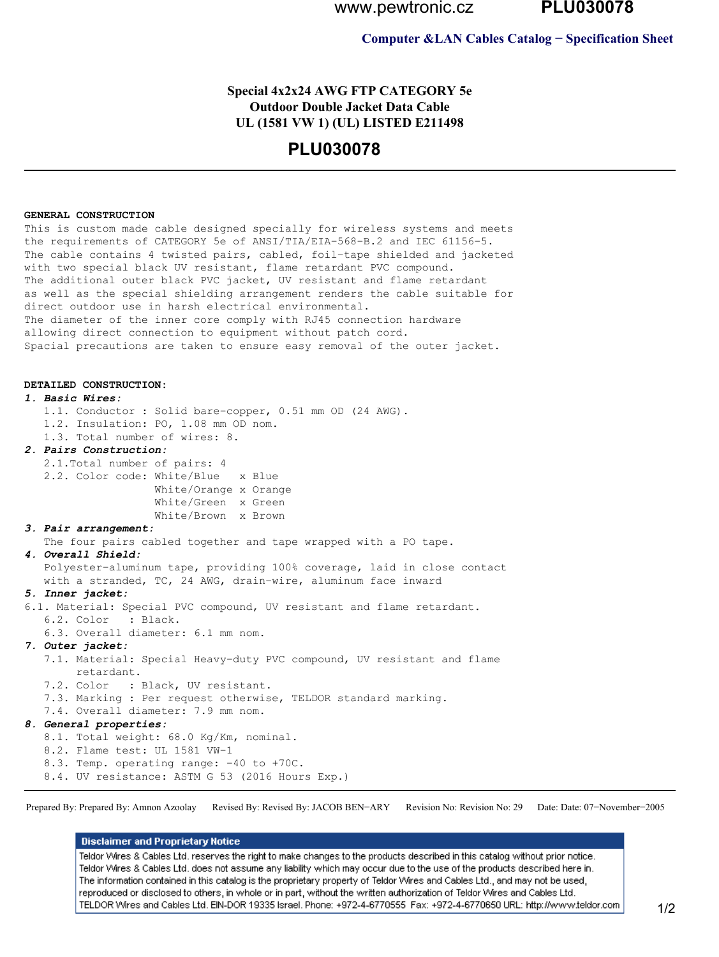www.pewtronic.cz

**PLU030078** 

### **Computer & LAN Cables Catalog - Specification Sheet**

## Special 4x2x24 AWG FTP CATEGORY 5e **Outdoor Double Jacket Data Cable** UL (1581 VW 1) (UL) LISTED E211498

# **PLU030078**

#### GENERAL CONSTRUCTION

This is custom made cable designed specially for wireless systems and meets the requirements of CATEGORY 5e of ANSI/TIA/EIA-568-B.2 and IEC 61156-5. The cable contains 4 twisted pairs, cabled, foil-tape shielded and jacketed with two special black UV resistant, flame retardant PVC compound. The additional outer black PVC jacket, UV resistant and flame retardant as well as the special shielding arrangement renders the cable suitable for direct outdoor use in harsh electrical environmental. The diameter of the inner core comply with RJ45 connection hardware allowing direct connection to equipment without patch cord. Spacial precautions are taken to ensure easy removal of the outer jacket.

#### DETAILED CONSTRUCTION:

#### 1. Basic Wires:

1.1. Conductor : Solid bare-copper, 0.51 mm OD (24 AWG).

- 1.2. Insulation: PO, 1.08 mm OD nom.
- 1.3. Total number of wires: 8.

### 2. Pairs Construction:

2.1. Total number of pairs: 4 2.2. Color code: White/Blue x Blue White/Orange x Orange White/Green x Green White/Brown x Brown

#### 3. Pair arrangement:

The four pairs cabled together and tape wrapped with a PO tape.

#### 4. Overall Shield:

Polyester-aluminum tape, providing 100% coverage, laid in close contact with a stranded, TC, 24 AWG, drain-wire, aluminum face inward

## 5. Inner jacket:

6.1. Material: Special PVC compound, UV resistant and flame retardant. 6.2. Color : Black. 6.3. Overall diameter: 6.1 mm nom. 7. Outer jacket: 7.1. Material: Special Heavy-duty PVC compound, UV resistant and flame retardant. 7.2. Color : Black, UV resistant. 7.3. Marking : Per request otherwise, TELDOR standard marking. 7.4. Overall diameter: 7.9 mm nom. 8. General properties: 8.1. Total weight: 68.0 Kg/Km, nominal. 8.2. Flame test: UL 1581 VW-1 8.3. Temp. operating range: -40 to +70C. 8.4. UV resistance: ASTM G 53 (2016 Hours Exp.)

Prepared By: Prepared By: Amnon Azoolay Revised By: Revised By: JACOB BEN-ARY Revision No: Revision No: 29 Date: Date: 07-November-2005

#### **Disclaimer and Proprietary Notice**

Teldor Wires & Cables Ltd. reserves the right to make changes to the products described in this catalog without prior notice. Teldor Wires & Cables Ltd, does not assume any liability which may occur due to the use of the products described here in. The information contained in this catalog is the proprietary property of Teldor Wires and Cables Ltd., and may not be used, reproduced or disclosed to others, in whole or in part, without the written authorization of Teldor Wires and Cables Ltd. TELDOR Wires and Cables Ltd. EIN-DOR 19335 Israel. Phone: +972-4-6770555 Fax: +972-4-6770650 URL: http://www.teldor.com